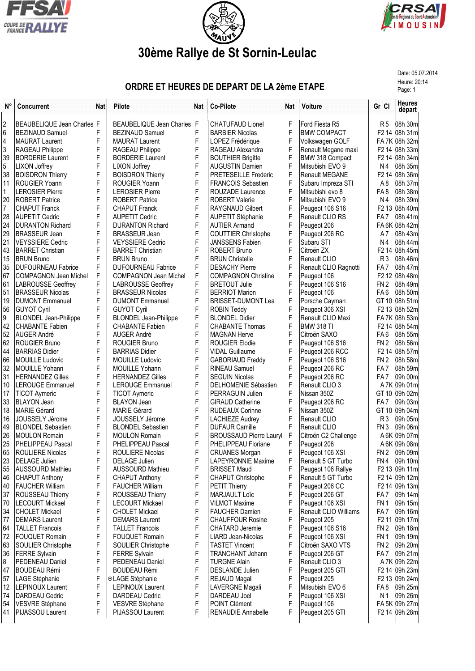





## **30ème Rallye de St Sornin-Leulac**

Date: 05.07.2014

## **ORDRE ET HEURES DE DEPART DE LA 2ème ETAPE** Heure: 20:14

| N°       | <b>Concurrent</b>                             | Nat    | Pilote                                            | Nat    | <b>Co-Pilote</b>                              | Nat    | Voiture                         | Gr Cl                              | <b>Heures</b><br>départ    |
|----------|-----------------------------------------------|--------|---------------------------------------------------|--------|-----------------------------------------------|--------|---------------------------------|------------------------------------|----------------------------|
| 2        | BEAUBELIQUE Jean Charles F                    |        | BEAUBELIQUE Jean Charles F                        |        | <b>CHATUFAUD Lionel</b>                       | F      | Ford Fiesta R5                  | R <sub>5</sub>                     | 08h 30m                    |
| 6        | <b>BEZINAUD Samuel</b>                        | F      | <b>BEZINAUD Samuel</b>                            | F      | <b>BARBIER Nicolas</b>                        | F      | <b>BMW COMPACT</b>              |                                    | F2 14 08h 31m              |
| 4        | MAURAT Laurent                                | F      | <b>MAURAT Laurent</b>                             | F      | LOPEZ Frédérique                              | F      | Volkswagen GOLF                 |                                    | FA7K 08h 32m               |
| 3        | RAGEAU Philippe                               | F      | RAGEAU Philippe                                   | F      | RAGEAU Alexandra                              | F      | Renault Megane maxi             |                                    | F2 14 08h 33m              |
| 39       | <b>BORDERIE Laurent</b>                       | F      | <b>BORDERIE Laurent</b>                           | F      | <b>BOUTHIER Brigitte</b>                      | F      | BMW 318 Compact                 |                                    | F2 14 08h 34m              |
| 5        | LIXON Joffrey                                 | F      | LIXON Joffrey                                     | F      | <b>AUGUSTIN Damien</b>                        | F      | Mitsubishi EVO 9                | Ν4                                 | 08h 35m                    |
| 38       | <b>BOISDRON Thierry</b>                       | F      | <b>BOISDRON Thierry</b>                           | F      | <b>PRETESEILLE Frederic</b>                   | F      | <b>Renault MEGANE</b>           | F <sub>2</sub> 14                  | 08h 36m                    |
| 11       | <b>ROUGIER Yoann</b>                          | F      | ROUGIER Yoann                                     | F      | <b>FRANCOIS Sebastien</b>                     | F      | Subaru Impreza STI              | A <sub>8</sub>                     | 08h 37m                    |
| 1        | <b>LEROSIER Pierre</b>                        | F      | <b>LEROSIER Pierre</b>                            | F      | ROUZADE Laurence                              | F      | Mitsubishi evo 8                | FA8                                | 08h 38m                    |
| 20       | <b>ROBERT Patrice</b>                         | F      | <b>ROBERT Patrice</b>                             | F      | <b>ROBERT Valerie</b>                         | F      | Mitsubishi EVO 9                | Ν4                                 | 08h 39m                    |
| 7        | <b>CHAPUT Franck</b>                          | F      | <b>CHAPUT Franck</b>                              | F      | <b>RAYGNAUD Gilbert</b>                       | F      | Peugeot 106 S16                 |                                    | F2 13 08h 40m              |
| 28       | AUPETIT Cedric                                | F      | <b>AUPETIT Cedric</b>                             | F      | <b>AUPETIT Stéphanie</b>                      | F      | Renault CLIO RS                 | FA <sub>7</sub>                    | 08h 41m                    |
| 24       | <b>IDURANTON Richard</b>                      | F      | <b>DURANTON Richard</b>                           | F      | <b>AUTIER Armand</b>                          | F      | Peugeot 206                     |                                    | FA 6K 08h 42m              |
| 29       | <b>BRASSEUR Jean</b>                          | F      | <b>BRASSEUR Jean</b>                              | F      | COUTTIER Christophe                           | F      | Peugeot 206 RC                  | A7                                 | <b>08h 43m</b>             |
| 21       | <b>VEYSSIERE Cedric</b>                       | F      | <b>VEYSSIERE Cedric</b>                           | F      | <b>JANSSENS Fabien</b>                        | F      | Subaru STI                      | Ν4                                 | 08h 44m                    |
| 43       | <b>BARRET Christian</b>                       | F      | <b>BARRET Christian</b>                           | F      | <b>ROBERT Bruno</b>                           | F      | Citroën ZX                      | F <sub>2</sub> 14                  | 08h 45m                    |
| 15       | IBRUN Bruno                                   | F      | <b>BRUN Bruno</b>                                 | F      | <b>BRUN Christelle</b>                        | F      | Renault CLIO                    | R <sub>3</sub>                     | 08h 46m                    |
| 35       | <b>DUFOURNEAU Fabrice</b>                     | F      | <b>DUFOURNEAU Fabrice</b>                         | F      | <b>DESACHY Pierre</b>                         | F      | Renault CLIO Ragnotti           | FA <sub>7</sub>                    | 08h 47m                    |
| 67       | COMPAGNON Jean Michel                         | F      | <b>COMPAGNON Jean Michel</b>                      | F      | <b>COMPAGNON Christine</b>                    | F      | Peugeot 106                     | F2 12                              | 08h 48m                    |
| 61       | LABROUSSE Geoffrey<br><b>BRASSEUR Nicolas</b> | F<br>F | <b>LABROUSSE Geoffrey</b>                         | F<br>F | <b>BRETOUT Julie</b><br><b>BERRIOT Marion</b> | F<br>F | Peugeot 106 S16                 | FN <sub>2</sub><br>FA <sub>6</sub> | 08h 49m                    |
| 51<br>19 | <b>DUMONT Emmanuel</b>                        | F      | <b>BRASSEUR Nicolas</b><br><b>DUMONT Emmanuel</b> | F      | <b>BRISSET-DUMONT Lea</b>                     | F      | Peugeot 106<br>Porsche Cayman   |                                    | 08h 50m<br>GT 10 08h 51m   |
| 56       | GUYOT Cyril                                   | F      | <b>GUYOT Cyril</b>                                | F      | <b>ROBIN Teddy</b>                            | F      | Peugeot 306 XSI                 | F <sub>2</sub> 13                  | 08h 52m                    |
| 9        | <b>BLONDEL Jean-Philippe</b>                  | F      | <b>BLONDEL Jean-Philippe</b>                      | F      | <b>BLONDEL Didier</b>                         | F      | Renault CLIO Maxi               |                                    | FA7K 08h 53m               |
| 42       | CHABANTE Fabien                               | F      | CHABANTE Fabien                                   | F      | <b>CHABANTE Thomas</b>                        | F      | <b>BMW 318 TI</b>               |                                    | F2 14 08h 54m              |
| 52       | <b>AUGER André</b>                            | F      | <b>AUGER André</b>                                | F      | <b>MAGNAN Herve</b>                           | F      | Citroën SAXO                    | FA <sub>6</sub>                    | 08h 55m                    |
| 62       | ROUGIER Bruno                                 | F      | <b>ROUGIER Bruno</b>                              | F      | <b>ROUGIER Elodie</b>                         | F      | Peugeot 106 S16                 | FN 2                               | 08h 56m                    |
| 44       | <b>BARRIAS Didier</b>                         | F      | <b>BARRIAS Didier</b>                             | F      | VIDAL Guillaume                               | F      | Peugeot 206 RCC                 | F <sub>2</sub> 14                  | 08h 57m                    |
| 66       | <b>MOUILLE Ludovic</b>                        | F      | <b>MOUILLE Ludovic</b>                            | F      | <b>GABORIAUD Freddy</b>                       | F      | Peugeot 106 S16                 | FN <sub>2</sub>                    | 08h 58m                    |
| 32       | MOUILLE Yohann                                | F      | MOUILLE Yohann                                    | F      | <b>RINEAU Samuel</b>                          | F      | Peugeot 206 RC                  | FA 7                               | 08h 59m                    |
| 31       | IHERNANDEZ Gilles                             | F      | <b>HERNANDEZ Gilles</b>                           | F      | <b>SEGUIN Nicolas</b>                         | F      | Peugeot 206 RC                  | FA 7                               | 09h 00m                    |
| 10       | <b>LEROUGE Emmanuel</b>                       | F      | <b>LEROUGE Emmanuel</b>                           | F      | <b>DELHOMENIE Sébastien</b>                   | F      | Renault CLIO 3                  |                                    | A 7K 09h 01m               |
| 17       | TICOT Aymeric                                 | F      | <b>TICOT Aymeric</b>                              | F      | PERRAGUIN Julien                              | F      | Nissan 350Z                     |                                    | GT 10 09h 02m              |
| 33       | <b>BLAYON</b> Jean                            | F      | <b>BLAYON Jean</b>                                | F      | <b>GIRAUD Catherine</b>                       | F      | Peugeot 206 RC                  | FA 7                               | 09h 03m                    |
| 18       | MARIE Gérard                                  | F      | MARIE Gérard                                      | F      | <b>RUDEAUX Corinne</b>                        | F      | Nissan 350Z                     | GT 10                              | 09h 04m                    |
| 16       | JOUSSELY Jérome                               | F      | <b>JOUSSELY Jérome</b>                            | F      | <b>LACHIEZE Audrey</b>                        | F      | Renault CLIO                    | R3                                 | 09h 05m                    |
| 49       | <b>BLONDEL Sebastien</b>                      | F      | <b>BLONDEL Sebastien</b>                          | F      | <b>DUFAUR Camille</b>                         | F      | Renault CLIO                    | FN <sub>3</sub>                    | 09h 06m                    |
| 26       | <b>MOULON Romain</b>                          | F      | <b>MOULON Romain</b>                              | F      | <b>BROUSSAUD Pierre Lauryl</b>                | F      | Citroën C2 Challenge            |                                    | A 6K 09h 07m               |
| 25       | <b>PHELIPPEAU Pascal</b>                      | F      | PHELIPPEAU Pascal                                 | F      | PHELIPPEAU Floriane                           |        | Peugeot 206                     |                                    | A 6K 09h 08m               |
| 65       | <b>ROULIERE Nicolas</b>                       | F      | ROULIERE Nicolas                                  | F      | <b>CRUANES Morgan</b>                         | F      | Peugeot 106 XSI                 |                                    | FN 2 09h 09m               |
| 23       | DELAGE Julien                                 | F      | <b>DELAGE Julien</b>                              | F      | LAPEYRONNIE Maxime                            | F      | Renault 5 GT Turbo              | FN 4                               | 09h 10m                    |
| 55       | <b>AUSSOURD Mathieu</b>                       | F      | <b>AUSSOURD Mathieu</b>                           | F      | <b>BRISSET Maud</b>                           | F      | Peugeot 106 Rallye              |                                    | F2 13 09h 11m              |
| 46       | <b>CHAPUT Anthony</b>                         | F      | <b>CHAPUT Anthony</b>                             | F      | <b>CHAPUT Christophe</b>                      | F      | Renault 5 GT Turbo              |                                    | F2 14 09h 12m              |
| 40       | <b>FAUCHER William</b>                        | F      | <b>FAUCHER William</b>                            | F      | PETIT Thierry                                 | F      | Peugeot 206 CC                  |                                    | F <sub>2</sub> 14 09h 13ml |
| 37       | ROUSSEAU Thierry                              | F      | ROUSSEAU Thierry                                  | F      | MARJAULT Loïc                                 | F      | Peugeot 206 GT                  | FA <sub>7</sub>                    | 09h 14m                    |
| 70       | <b>LECOURT Mickael</b>                        | F      | <b>LECOURT Mickael</b>                            | F      | <b>VILMOT Maxime</b>                          | F      | Peugeot 106 XSI                 | FN <sub>1</sub>                    | 09h 15m                    |
| 34       | <b>CHOLET Mickael</b>                         | F      | <b>CHOLET Mickael</b>                             | F      | <b>FAUCHER Damien</b>                         | F      | Renault CLIO Williams           | FA <sub>7</sub>                    | 09h 16m                    |
| 77       | <b>IDEMARS Laurent</b>                        | F      | <b>DEMARS Laurent</b>                             | F      | <b>CHAUFFOUR Rosine</b>                       | F      | Peugeot 205                     | F <sub>2</sub> 11                  | 09h 17ml                   |
| 64       | TALLET Francois                               | F      | <b>TALLET Francois</b>                            | F      | <b>CHATARD Jeremie</b>                        | F      | Peugeot 106 S16                 | FN <sub>2</sub>                    | 09h 18ml                   |
| 72       | <b>FOUQUET Romain</b>                         | F      | <b>FOUQUET Romain</b>                             | F      | LIARD Jean-Nicolas                            | F      | Peugeot 106 XSI                 | FN <sub>1</sub>                    | 09h 19m                    |
| 63       | SOULIER Christophe                            | F      | SOULIER Christophe                                | F<br>F | <b>TASTET Vincent</b>                         | F<br>F | Citroën SAXO VTS                | FN <sub>2</sub>                    | 09h 20m                    |
| 36       | <b>FERRE</b> Sylvain                          | F      | <b>FERRE Sylvain</b>                              |        | TRANCHANT Johann                              |        | Peugeot 206 GT                  | FA <sub>7</sub>                    | 09h 21m                    |
| 8        | PEDENEAU Daniel                               | F<br>F | PEDENEAU Daniel                                   | F<br>F | <b>TURGNE Alain</b>                           | F<br>F | Renault CLIO 3                  |                                    | A 7K 09h 22m               |
| 47<br>57 | BOUDEAU Rémi<br>LAGE Stéphanie                | F      | <b>BOUDEAU Rémi</b><br>⊙LAGE Stéphanie            | F      | <b>DESLANDE Julien</b>                        | F      | Peugeot 205 GTI                 |                                    | F2 14 09h 23m              |
| 12       | <b>ILEPINOUX Laurent</b>                      | F      | <b>LEPINOUX Laurent</b>                           | F      | REJAUD Magali<br><b>LAVERGNE Magali</b>       | F      | Peugeot 205<br>Mitsubishi EVO 6 | FA8                                | F2 13 09h 24m<br>09h 25ml  |
| 74       | DARDEAU Cedric                                | F      | DARDEAU Cedric                                    | F      | DARDEAU Joel                                  | F      | Peugeot 106 XSI                 | N 1                                | 09h 26ml                   |
| 54       | VESVRE Stéphane                               | F      | VESVRE Stéphane                                   | F      | POINT Clément                                 | F      | Peugeot 106                     |                                    | FA 5K 09h 27m              |
| 41       | <b>PIJASSOU Laurent</b>                       | F      | PIJASSOU Laurent                                  | F      | RENAUDIE Annabelle                            | F      | Peugeot 205 GTI                 |                                    | F2 14 09h 28m              |
|          |                                               |        |                                                   |        |                                               |        |                                 |                                    |                            |